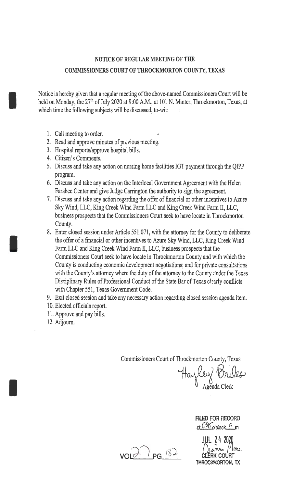# NOTICE OF REGULAR MEETING OF THE COMMISSIONERS COURT OF THROCKMORTON COUNTY, TEXAS

Notice is hereby given that a regular meeting of the above-named Commissioners Court will be held on Monday, the 27<sup>th</sup> of July 2020 at 9:00 A.M., at 101 N. Minter, Throckmorton, Texas, at which time the following subjects will be discussed, to-wit:

1. Call meeting to order.

I

I

I

- 2. Read and approve minutes of  $p_1 \in V$ ious meeting.
- 3. Hospital reports/approve hospital bills.
- 4. Citizen's Comments.
- 5. Discuss and take any action on nursing home facilities IGT payment through the QIPP program.
- 6. Discuss and take any action on the Interlocal Government Agreement with the Helen Farabee Center and give Judge Carrington the authority to sign the agreement.
- 7. Discuss and take any action regarding the offer of financial or other incentives to Azure Sky Wind, LLC, King Creek Wind Farm LLC and King Creek Wind Farm II, LLC, business prospects that the Commissioners Court seek to have locate in Throckmorton County.
- 8. Enter closed session under Article 551.071, with the attorney for the County to deliberate the offer of a financial or other incentives to Azure Sky Wind, LLC, King Creek Wind Farm LLC and King Creek Wind Farm II, LLC, business prospects that the Commissioners Court seek to have locate in Throckmorton County and with which the County is conducting economic development negotiations; and for private consultations with the County's attorney where the duty of the attorney to the County under the Texas Disciplinary Rules of Professional Conduct of the State Bar of Texas clearly conflicts with Chapter 551, Texas Government Code.
- 9. Exit closed session and take any necessary action regarding closed session agenda item.
- io. Elected officials report.
- 11. Approve and pay bills.
- 12. Adjourn.

Commissioners Court of Throckmorton County, Texas

Hayley Briles

FILED FOR RECORD  $et$   $O8$ <sup>1</sup>  $I$ <sub>0</sub>' $det$   $G$ <sub>m</sub>

 $\sqrt{2}$   $\sqrt{2}$   $\sqrt{2}$ 

JUL 24 2020<br>Deanne *Mo*se THROCKMORTON, TX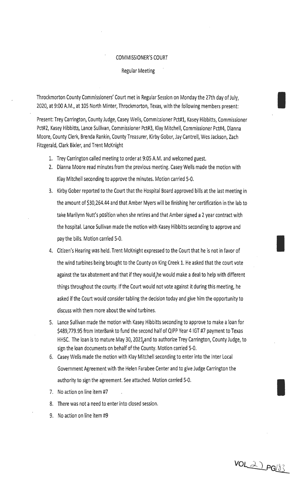#### COMMISSIONER'S COURT

#### Regular Meeting

Throckmorton County Commissioners' Court met in Regular Session on Monday the 27th day of July, 2020, at 9:00 A.M., at 105 North Minter, Throckmorton, Texas, with the following members present:

Present: Trey Carrington, County Judge, Casey Wells, Commissioner Pct#l, Kasey Hibbitts, Commissioner Pct#2, Kasey Hibbitts, Lance Sullivan, Commissioner Pct#3, Klay Mitchell, Commissioner Pct#4, Dianna Moore, County Clerk, Brenda Rankin, County Treasurer, Kirby Gober, Jay Cantrell, Wes Jackson, Zach Fitzgerald, Clark Bixler, and Trent McKnight

- 1. Trey Carrington called meeting to order at 9:05 A.M. and welcomed guest.
- 2. Dianna Moore read minutes from the previous meeting. Casey Wells made the motion with Klay Mitchell seconding to approve the minutes. Motion carried 5-0.
- 3. Kirby Gober reported to the Court that the Hospital Board approved bills at the last meeting in the amount of \$30,264.44 and that Amber Myers will be finishing her certification in the lab to take Marilynn Nutt's position when she retires and that Amber signed a 2 year contract with the hospital. Lance Sullivan made the motion with Kasey Hibbitts seconding to approve and pay the bills. Motion carried 5-0.
- 4. Citizen's Hearing was held. Trent McKnight expressed to the Court that he is not in favor of the wind turbines being brought to the County on King Creek 1. He asked that the court vote against the tax abatement and that if they would,he would make a deal to help with different things throughout the county. If the Court would not vote against it during this meeting, he asked if the Court would consider tabling the decision today and give him the opportunity to discuss with them more about the wind turbines.
- 5. Lance Sullivan made the motion with Kasey Hibbitts seconding to approve to make a loan for \$489,779.95 from lnterBank to fund the second half of QIPP Year 4 IGT #7 payment to Texas HHSC. The loan is to mature May 30, 2021,and to authorize Trey Carrington, County Judge, to sign the loan documents on behalf of the County. Motion carried 5-0.
- 6. Casey Wells made the motion with Klay Mitchell seconding to enter into the Inter Local Government Agreement with the Helen Farabee Center and to give Judge Carrington the authority to sign the agreement. See attached. Motion carried 5-0.
- 7. No action on line item #7
- 8. There was not a need to enter into closed session.
- 9. No action on line item #9

VOL21 PG183

I

I

I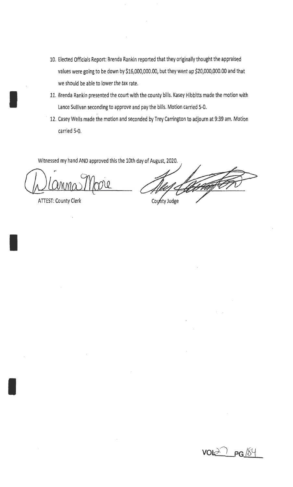- 10. Elected Officials Report: Brenda Rankin reported that they originally thought the appraised values were going to be down by \$16,000,000.00, but they went up \$20,000,QOO.OO and that we should be able to lower the tax rate.
- 11. Brenda Rankin presented the court with the county bills. Kasey Hibbitts made the motion with Lance Sullivan seconding to approve and pay the bills. Motion carried 5-0.
- 12. Casey Wells made the motion and seconded by Trey Carrington to adjourn at 9:39 am. Motion carried 5-0.

Witnessed my hand AND approved this the 10th day of August, 2020.

ATIEST: County Clerk

I

I

I

County Judge

 $vol \geq 7$   $pg$  /84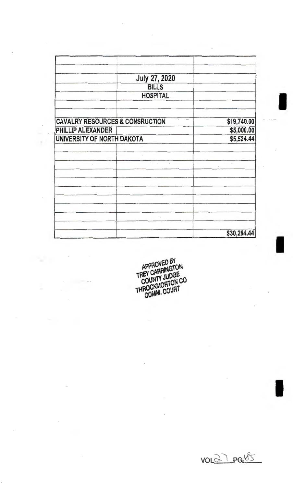|                                            | July 27, 2020             |             |
|--------------------------------------------|---------------------------|-------------|
|                                            | <b>BILLS</b>              |             |
|                                            | <b>HOSPITAL</b>           |             |
| <b>CAVALRY RESOURCES &amp; CONSRUCTION</b> |                           | \$19,740.00 |
| PHILLIP ALEXANDER                          |                           | \$5,000.00  |
| UNIVERSITY OF NORTH DAKOTA                 |                           | \$5,524.44  |
|                                            | $\epsilon$                |             |
|                                            | the committee of the com- | $\sim$      |
|                                            |                           |             |
|                                            |                           |             |
|                                            |                           |             |
|                                            |                           | \$30,264.44 |

 $\overline{\phantom{a}}$ 

 $\overline{\phantom{a}}$ 

 $\overline{\phantom{a}}$ 

 $\overline{\phantom{a}}$ 

 $\mathbb{R}^2$ 

÷,

APPROVED BY<br>TREY CARRINGTON<br>COUNTY JUDGE<br>THROCKMORTON CO<br>COMM. COURT

 $vol27 \neg85$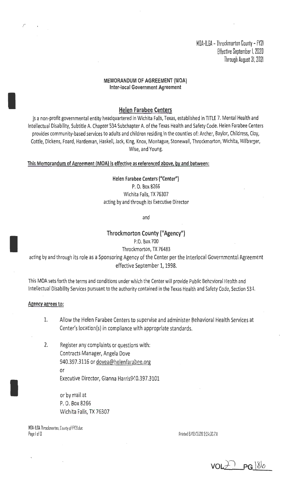MOA-llGA -Throckmorton County -fY21 Hfective September I. 2020 Through August 31. 2021

## MEMORANDUM OF AGREEMENT (MOA) Inter-local Government Agreement

#### Helen Farabee Centers

is a non-profit governmental entity headquartered in Wichita Falls, Texas, established in TITLE 7. Mental Health and Intellectual Disability, Subtitle A. Chapter 534 Subchapter A. of the Texas Health and Safety Code. Helen Farabee Centers provides community-based services to adults and children residing in the counties of: Archer, Baylor, Childress, Clay, Cottle, Dickens, Foard, Hardeman, Haskell, Jack, King, Knox, Montague, Stonewall, Throckmorton, Wichita, Wilbarger, Wise, and Young.

#### This Memorandum of Agreement (MOA) is effective as referenced above, by and between:

Helen Farabee Centers ("Center") P. 0. Box 8266 Wichita Falls, TX 76307 acting by and through its Executive Director

and

### Throckmorton County ("Agency")

P.O. Box 700

Throckmorton, TX 76483

acting by and through its role as a Sponsoring Agency of the Center per the lnterlocal Governmental Agreement effective September 1, 1998.

This MOA sets forth the terms and conditions under which the Center will provide Public Behavioral Health and Intellectual Disability Services pursuant to the authority contained in the Texas Health and Safety Code, Section 534.

#### Agency agrees to:

,-

I

I

I

- 1. Allow the Helen Farabee Centers to supervise and administer Behavioral Health Services at Center's location(s) in compliance with appropriate standards.
- 2. Register any complaints or questions with: Contracts Manager, Angela Dove 940.397.3116 or dovea@helenfarabee.org or Executive Director, Gianna Harris940.397.3101

or by mail at P. 0. Box 8266 Wichita Falls, TX 76307

MOA-ILGA Throckmorton, County of FY21.dac Page I of 3 Printed 6/18/2020 2:3:4:35 PM

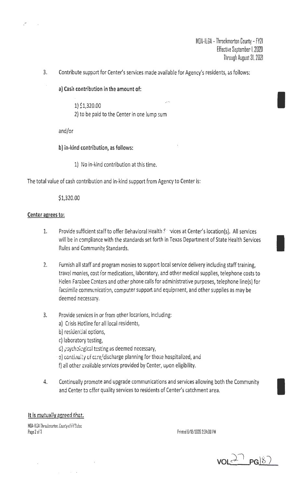I

I

I

3. Contribute support for Center's services made available for Agency's residents, as follows:

a) Cash contribution in the amount of:

1) \$1,320.00 2) to be paid to the Center in one lump sum

and/or •

b) in-kind contribution, as follows:

1) No in-kind contribution at this time.

The total value of cash contribution and in-kind support from Agency to Center is:

\$1,320.00

# Center agrees to:

 $\sim$  .

- 1. Provide sufficient staff to offer Behavioral Health Services at Center's location(s). All services will be in compliance with the standards set forth in Texas Department of State Health Services Rules and Community Standards.
- 2. Furnish all staff and program monies to support local service delivery including staff training, travel monies, cost for medications, laboratory, and other medical supplies, telephone costs to Helen Farabee Centers and other phone calls for administrative purposes, telephone line(s) for facsimile communication, computer support and equipment, and other supplies as may be deemed necessary.
- 3. Provide services in or from other locations, including:
	- a) Crisis Hotline for all local residents.
	- b) residential options,
	- r.) laboratory testing,
	- d) asychological testing as deemed necessary,
	- e) continuity of care/discharge planning for those hospitalized, and
	- f) all other available services provided by Center, upon eligibility.
- 4. Continually promote and upgrade communications and services allowing both the Community and Center *ta* cffer quality services to residents of Center's catchment area.

## It is mutually agreed that:

MOA-II GA Throckmorton. County of FY?Ldoc. Page 2 of 3 Printed 6/18/2020 2:34:00 PM

 $\Delta \phi = 0.000$  km s  $^{-1}$ 

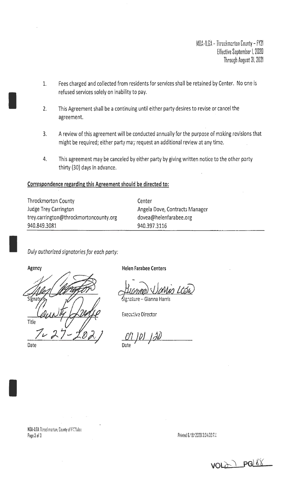MDA-ILGA - Throckmerton County - FY21 Effective September I. 2020 Through August 31. 2021

- 1. Fees charged and collected from residents for services shall be retained by Center. No cne is refused services solely on inability to pay.
- 2. This Agreement shall be a continuing until either party desires to revise or cancel the agreement.
- 3. A review of this agreement will be conducted annually for the purpose of making revisions that might be required; either party may request an additional review at any time.
- 4. This agreement may be canceled by either party by giving written notice to the other party thirty (30) days in advance.

## Correspondence regarding this Agreement should be directed to:

| <b>Throckmorton County</b>             | Center                         |
|----------------------------------------|--------------------------------|
| Judge Trey Carrington                  | Angela Dove, Contracts Manager |
| trey.carrington@throckmortoncounty.org | dovea@helenfarabee.org         |
| 940.849.3081                           | 940.397.3116                   |

Duly authorized signatories for each party:

**Agency** 

I

I

Title

Date

I

Helen Farabee Centers

nature – Gianna Harris

Executive Director

0'I JOJ JAD Date  $\sqrt{ }$ 

MOA-LGA Throckmarton, County of FY? Ldoc. Page 3 of 3

Printed 6/18/2020 2:34:00 FM